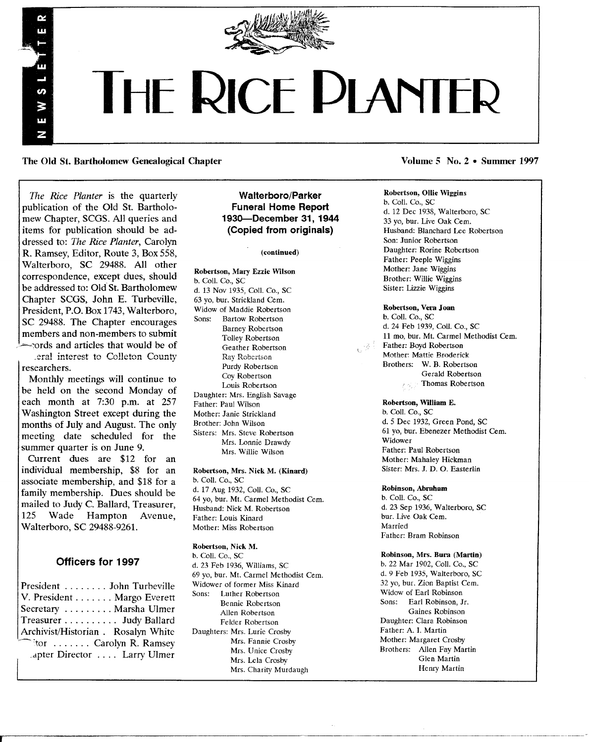

# **THE RICE PLANTER**

The Old St. Bartholomew Genealogical Chapter Volume 5 No. 2 • Summer 1997

*The Rice Planter* is the quarterly publication of the Old St. Bartholomew Chapter, SCGS. All queries and items for publication should be addressed to: *The Rice Planter,* Carolyn R. Ramsey, Editor, Route 3, Box 558, Walterboro, SC 29488. All other correspondence, except dues, should be addressed to: Old St. Bartholomew Chapter SCGS, John E. Turbeville, President, P.O. Box 1743, Walterboro, SC 29488. The Chapter encourages members and non-members to submit .~-~ords and articles that would be of \_eral interest to Colleton Counrj

researchers.

w

U) Ş π N

Monthly meetings will continue to be held on the second Monday of each month at 7:30 p.m. at 257 Washington Street except during the months of July and August. The only meeting date scheduled for the summer quarter is on June 9.

Current dues are \$12 for an individual membership, \$8 for an associate membership, and \$18 for a family membership. Dues should be mailed to Judy C. Ballard, Treasurer,<br>125 Wade Hampton Avenue, Hampton Walterboro, SC 29488-9261.

# Officers for 1997

President ....... John Turbeville V. President . . . . . . . Margo Everett Secretary ........ Marsha Ulmer Treasurer. . . . . . . . .. Judy Ballard Archivist/Historian. Rosalyn White tor ....... Carolyn R. Ramsey dpter Director . . .. Larry Ulmer

# Walterboro/Parker Funeral Home Report 193O-0eeember 31, 1944 (Copied from originals)

#### (continued)

Robertson, Mary Ezzie Wilson b. Coli. Co., SC d. 13 Nov 1935, Coli. Co., SC 63 yo, bur. Strickland Cern. Widow of Maddie Robertson Sons: Bartow Robertson Barney Robertson Tolley Robertson Geather Robertson Ray Robertscn Purdy Robertson Coy Robertson Louis Robertson Daughter: Mrs. English Savage Father: Paul Wilson Mother: Janie Strickland Brother: John Wilson Sisters: Mrs. Steve Robertson Mrs. Lonnie Drawdy Mrs. Willie Wilson

#### Robertson, Mrs. Nick M. (Kinard)

b. Coll. Co., SC d. 17 Aug 1932, CoIl. Co., SC 64 yo, bur. Mt. Carmel Methodist Cem. Husband: Nick M. Robertson Father: Louis Kinard Mother: Miss Robertson

#### Robertson, Nick M.

b. Coli. Co., SC d. 23 Feb 1936, Williams, SC 69 yo, bur. Mt. Carmel Methodist Cern. Widower of former Miss Kinard Sons: Luther Robertson Bennie Robertson Allen Robertson Felder Robertson Daughters: Mrs. Lurie Crosby Mrs. Fannie Crosby Mrs. Unice Crosby Mrs. Lela Crosby Mrs. Charity Murdaugh

#### Robertson, Ollie Wiggins

b. Coli. Co., SC d. 12 Dec 1938, Walterboro, SC 33 yo, bur. Live Oak Cem. Husband: Blanchard Lee Robertson Son: Junior Robertson Daughter: Rorine Robertson Father: Peeple Wiggins Mother: Jane Wiggins Brother: Willie Wiggins Sister: Lizzie Wiggins

#### Robertson, Vera Joan

b. Coli. Co., SC d. 24 Feb 1939, CoIl. Co., SC 11 mo, bur. Mt. Carmel Methodist Cern. Father: Boyd Robertson Mother: Mattie Broderick Brothers: W. B. Robertson Gerald Robertson Thomas Robertson

## Robertson, William E.

b. Coli. Co., SC d. 5 Dec 1932, Green Pond, SC 61 yo, bur. Ebenezer Methodist Cern. Widower Father: Paul Robertson Mother: Mahaley Hickman Sister: Mrs. J. D. O. Easterlin

#### Robinson, Abraham

b. ColI. Co., SC d. 23 Sep 1936, Walterboro, SC bur. Live Oak Cem. Married Father: Bram Robinson

#### Robinson, Mrs. Bura (Martin)

b. 22 Mar 1902, Coll. Co., SC d. 9 Feb 1935, Walterboro, SC 32 yo, bur. Zion Baptist Cem. Widow of Earl Robinson Sons: Earl Robinson, Jr. Gaines Robinson Daughter: Clara Robinson Father: A. 1. Martin Mother: Margaret Crosby Brothers: Allen Fay Martin Glen Martin Henry Martin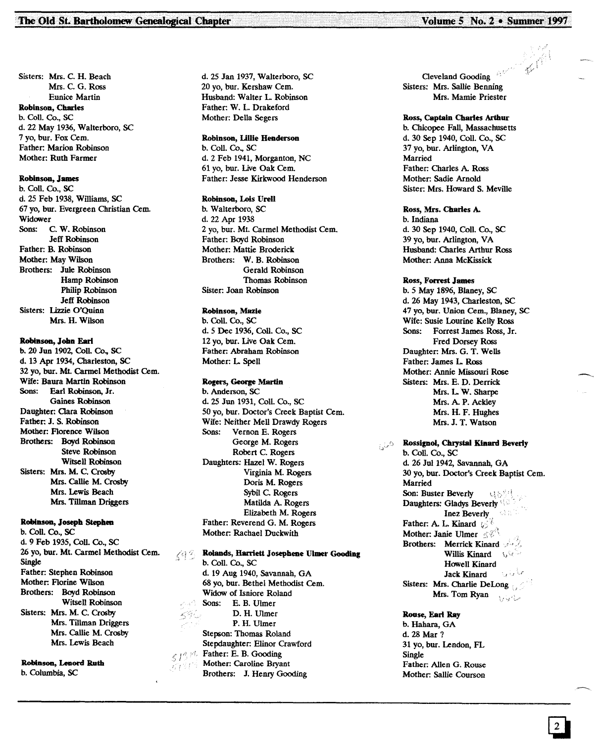Sisters: Mrs. C. H. Beach Mrs. C. G. Ross Eunice Martin Robinson, Charles b. CoIl. Co., SC d. 22 May 1936, Walterboro, SC 7 yo, bur. Fox Cern. Father: Marion Robinson Mother: Ruth Farmer

#### Robinson, James

b. Coll. Co., SC d. 25 Feb 1938, Williams, SC 67 yo, bur. Evergreen Christian Cem. Widower Sons: C. W. Robinson Jeff Robinson Father: B. Robinson Mother: May Wilson Brothers: Jule Robinson Hamp Robinson Philip Robinson Jeff Robinson Sisters: Lizzie O'Ouinn Mrs. H. Wilson

#### Robinson, John Earl

b. 20 Jun 1902, CoIl. Co., SC d. 13 Apr 1934, Charleston, SC 32 yo, bur. Mt. Cannel Methodist Cern. Wife: Baura Martin Robinson Sons: Earl Robinson, Jr. Gaines Robinson Daughter: Clara Robinson Father: J. S. Robinson Mother: Florence Wilson Brothers: Boyd Robinson Steve Robinson Witsell Robinson Sisters: Mrs. M. C. Crosby Mrs. Callie M. Crosby Mrs. Lewis Beach Mrs. Tillman Driggers

#### Robinson, Joseph Stephen

b. CoIl. Co., SC d. 9 Feb 1935, CoIl. Co., SC 26 yo, bur. Mt. Carmel Methodist Cem. Single Father: Stephen Robinson Mother: Florine Wilson Brothers: Boyd Robinson Witsell Robinson Sisters: Mrs. M. C. Crosby Mrs. Tillman Driggers Mrs. Callie M. Crosby Mrs. Lewis Beach

Robinson, Lenord Ruth b. Columbia, SC

d. 25 Jan 1937, Walterboro, SC 20 yo, bur. Kershaw Cern. Husband: Walter L. Robinson Father: W. L. Drakeford Mother: Della Segers

Robinson, UUIe Henderson b. Coil. Co., SC d. 2 Feb 1941, Morganton, NC 61 yo, bur. Live Oak Cern. Father: Jesse Kirkwood Henderson

#### Robinson, Lois Urell

b. Walterboro, SC d. 22 Apr 1938 2 yo, bur. Mt. Carrnel Methodist Cern. Father: Boyd Robinson Mother: Mattie Broderick Brothers: W. B. Robinson Gerald Robinson Thomas Robinson Sister: Joan Robinson

# Robinson, Mazie

b. CoIl. Co., SC d. 5 Dee 1936, CoIl. Co., SC 12 yo, bur. Live Oak Cern. Father: Abraham Robinson Mother: L Spell

#### Rogers, George Martin

b. Anderson, SC d. 25 Jun 1931, CoIl. Co., SC 50 yo, bur. Doctor's Creek Baptist Cern. Wife: Neither Mell Drawdy Rogers Sons: Vernon E. Rogers George M. Rogers Robert C. Rogers Daughters: Hazel W. Rogers Virginia M. Rogers Doris M. Rogers Sybil C. Rogers Matilda A. Rogers Elizabeth M. Rogers Father: Reverend G. M. Rogers Mother: Rachael Duckwith

#### Rolands, Harriett Josephene Ulmer Gooding 798 b. Coil. Co., SC d. 19 Aug 1940, Savannah, GA 68 yo, bur. Bethel Methodist Cern. Widow of Isniore Roland Sons: E. B. Ulmer  $59\%$ D. H. Ulmer P. H. Ulmer

Stepson: Thomas Roland Stepdaughter: Elinor Crawford  $\mathbb{Z}/\mathbb{Z}$ <sup>Father: E. B. Gooding</sup>  $\mathbb{Z}$  Mother: Caroline Bryant Brothers: J. Henry Gooding

Cleveland Gooding Sisters: Mrs. Sallie Benning Mrs. Mamie Priester

#### Ross, Captain Charles Arthur

b. Chicopee Fall, Massachusetts d. 30 Sep 1940, Coil. Co., SC 37 yo, bur. Arlington, VA Married Father: Charles A. Ross Mother: Sadie Arnold Sister: Mrs. Howard S. Meville

#### Ross, Mrs. Charles A.

b. Indiana d. 30 Sep 1940, CoIl. Co., SC 39 yo, bur. Arlington, VA Husband: Charles Arthur Ross Mother: Anna McKissick

#### Ross, Forrest James

b. 5 May 1896, Blaney, SC d. 26 May 1943, Charleston, SC 47 yo, bur. Union Cern., Blaney, SC Wife: Susie Lourine Kelly Ross Sons: Forrest James Ross, Jr. Fred Dorsey Ross Daughter: Mrs. G. T. Wells Father: James L Ross Mother: Annie Missouri Rose Sisters: Mrs. E. D. Derrick Mrs. L. W. Sharpe Mrs. A. P. Ackley Mrs. H. F. Hughes Mrs. J. T. Watson

# **Rossignol, Chrystal Kinard Beverly**

b. ColI. Co., SC d. 26 Jut 1942, Savannah, GA 30 yo, bur. Doctor's Creek Baptist Cern. Married Son: Buster Beverly  $\cup \otimes^{\otimes n}$ Daughters: Gladys Beverly Inez Beverly Father: A. L. Kinard  $\oslash$ Mother: Janie Ulmer Brothers: Merrick Kinard Willis Kinard \, \, Howell Kinard Jack Kinard Sisters: Mrs. Charlie DeLong Mrs. Tom Ryan مراسما وبالويا

# Roose, Earl Ray

b. Hahara, GA d.28 Mar? 31 yo, bur. Lendon, FL Single Father: Allen G. Rouse Mother: Sallie Courson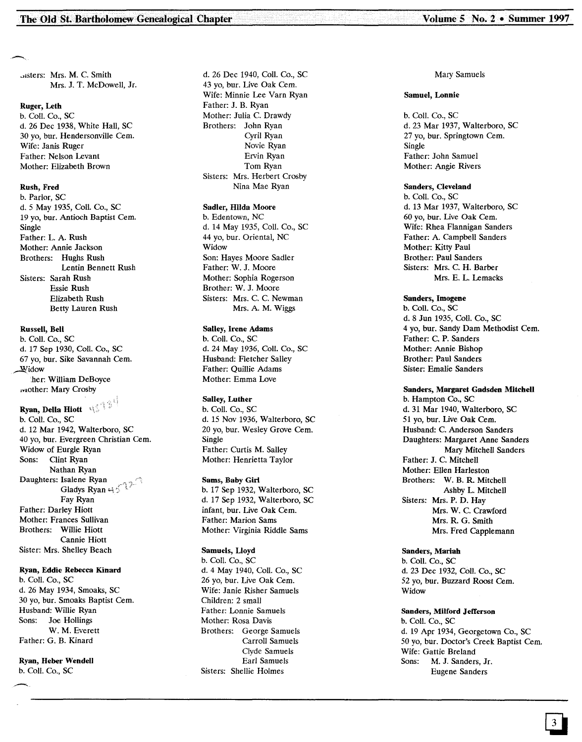Jisters: Mrs. M. C. Smith Mrs. J. T. McDowell, Jr.

#### Ruger, Leth

b. Coli. Co., SC d. 26 Dec 1938, White Hall, SC 30 yo, bur. Hendersonville Cem. Wife: Janis Ruger Father: Nelson Levant Mother: Elizabeth Brown

#### Rush, Fred

b. Parlor, SC d.5 May 1935, CoIl. Co., SC 19 yo, bur. Antioch Baptist Cem. Single Father: L. A. Rush Mother: Annie Jackson Brothers: Hughs Rush Lentin Bennett Rush Sisters: Sarah Rush Essie Rush Elizabeth Rush Betty Lauren Rush

#### Russell, Bell

b. Coli. Co., SC d. 17 Sep 1930, CoIl. Co., SC 67 yo, bur. Sike Savannah Cern.  $\mathbf{\underline{W}}$ idow .her: William DeBoyce viother: Mary Crosby

#### Ryan, Della Hiott  $\mathbb{R}^2$ b. CoIl. Co., SC d. 12 Mar 1942, Walterboro, SC 40 yo, bur. Evergreen Christian Cem. Widow of Eurgle Ryan Sons: Clint Ryan Nathan Ryan Daughters: Isalene Ryan Gladys Ryan  $45^{22}$ Fay Ryan Father: Darley Hiott Mother: Frances Sullivan Brothers: Willie Hiott Cannie Hiott Sister: Mrs. Shelley Beach

Ryan, Eddie Rebecca Kinard b. CoIl. Co., SC d. 26 May 1934, Smoaks, SC 30 yo, bur. Smoaks Baptist Cern. Husband: Willie Ryan Sons: Joe Hollings W. M. Everett Father: G. B. Kinard

#### Ryan, Heber Wendell b. CoIl. Co., SC

d. 26 Dec 1940, Coli. Co., SC 43 yo, bur. Live Oak Cem. Wife: Minnie Lee Varn Ryan Father: J. B. Ryan Mother: Julia C. Drawdy Brothers: John Ryan Cyril Ryan Novie Ryan Ervin Ryan Tom Ryan Sisters: Mrs. Herbert Crosby Nina Mae Ryan

#### Sadler, Hilda Moore

b. Edentown, NC d. 14 May 1935, CoIl. Co., SC 44 yo, bur. Oriental, NC Widow Son: Hayes Moore Sadler Father: W.J. Moore Mother: Sophia Rogerson Brother: W.J. Moore Sisters: Mrs. C. C. Newman Mrs. A. M. Wiggs

#### Salley, Irene Adams

b. CoIl. Co., SC d. 24 May 1936, CoIl. Co., SC Husband: Fletcher Salley Father: Quillie Adams Mother: Emma Love

#### Salley, Luther

b. CoIl. Co., SC d. 15 Nov 1936, Walterboro, SC 20 yo, bur. Wesley Grove Cern. Single Father: Curtis M. Salley Mother: Henrietta Taylor

# Sams, Baby Girl

b. 17 Sep 1932, Walterboro, SC d. 17 Sep 1932, Walterboro, SC infant, bur. Live Oak Cem. Father: Marion Sams Mother: Virginia Riddle Sams

#### Samuels, Lloyd

b. CoIl. Co., SC d. 4 May 1940, CoIl. Co., SC 26 yo, bur. Live Oak Cern. Wife: Janie Risher Samuels Children: 2 small Father: Lonnie Samuels Mother: Rosa Davis Brothers: George Samuels Carroll Samuels Clyde Samuels Earl Samuels Sisters: Shellie Holmes

#### Mary Samuels

#### Samuel, Lonnie

b. CoIl. Co., SC d. 23 Mar 1937, Walterboro, SC 27 yo, bur. Springtown Cem. Single Father: John Samuel Mother: Angie Rivers

#### Sanders, Cleveland

b. CoIl. Co., SC d. 13 Mar 1937, Walterboro, SC 60 yo, bur. Live Oak Cern. Wife: Rhea Flannigan Sanders Father: A. Campbell Sanders Mother: Kitty Paul Brother: Paul Sanders Sisters: Mrs. C. H. Barber Mrs. E. L. Lemacks

#### Sanders, Imogene

b. CoIl. Co., SC d. 8 Jun 1935, Coli. Co., SC 4 yo, bur. Sandy Dam Methodist Cem. Father: C. P. Sanders Mother: Annie Bishop Brother: Paul Sanders Sister: Emalie Sanders

#### Sanders, Margaret Gadsden Mitchell

b. Hampton Co., SC d. 31 Mar 1940, Walterboro, SC 51 yo, bur. Live Oak Cern. Husband: C. Anderson Sanders Daughters: Margaret Anne Sanders Mary Mitchell Sanders Father: J. C. Mitchell Mother: Ellen Harleston Brothers: W. B. R. Mitchell Ashby L. Mitchell Sisters: Mrs. P. D. Hay Mrs. W. C. Crawford Mrs. R. G. Smith Mrs. Fred Capplemann

#### Sanders, Mariah

b. CoIl. Co., SC d. 23 Dec 1932, CoIl. Co., SC 52 yo, bur. Buzzard Roost Cern. Widow

#### Sanders, Milford Jefferson

b. CoIl. Co., SC d. 19 Apr 1934, Georgetown Co., SC 50 yo, bur. Doctor's Creek Baptist Cern. Wife: Gattie Breland Sons: M. J. Sanders, Jr. Eugene Sanders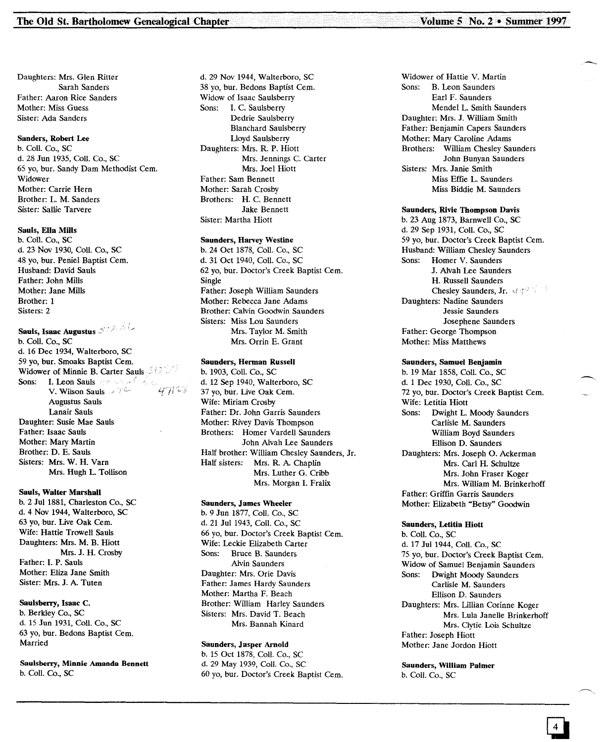Daughters: Mrs. Glen Ritter Sarah Sanders Father: Aaron Rice Sanders Mother: Miss Guess Sister: Ada Sanders

#### Sanders, Robert Lee

b. ColI. Co., SC d. 28 Jun 1935, Coll. Co., SC 65 yo, bur. Sandy Dam Methodist Cern. Widower Mother: Carrie Hern Brother: L. M. Sanders Sister: Sallie Tarvere

#### Sauls, Ella MiIls

b. Coll. Co., SC d. 23 Nov 1930, Coll. Co., SC 48 yo, bur. Peniel Baptist Cem. Husband: David Sauls Father: John Mills Mother: Jane Mills Brother: 1 Sisters: 2

Sauls, Isaac Augustus 3022

b. Coll. Co., SC d. 16 Dec 1934, Walterboro, SC 59 yo, bur. Smoaks Baptist Cern. Widower of Minnie B. Carter Sauls 312 Sons: I. Leon Sauls are solved on the V. Wilson Sauls  $\mathbb{R}^n$ Augustus Sauls Lanair Sauls Daughter: Susie Mae Sauls Father: Isaac Sauls Mother: Mary Martin Brother: D. E. Sauls Sisters: Mrs. W. H. Yarn Mrs. Hugh L. Tollison

#### Sauls, Walter Marshall

b. 2 Jul 1881, Charleston Co., SC d. 4 Nov 1944, Walterboro, SC 63 yo, bur. Live Oak Cern. Wife: Hattie Trowell Sauls Daughters: Mrs. M. B. Hiott Mrs. J. H. Crosby Father: 1. P. Sauls Mother: Eliza Jane Smith Sister: Mrs. J. A. Tuten

#### Saulsberry, Isaac C.

b. Berkley Co., SC d. 15 Jun 1931, Coll. Co., SC 63 yo, bur. Bedons Baptist Cern. Married

Saulsberry, Minnie Amanda Bennett b. Coll. Co., SC

d. 29 Nov 1944, Walterboro, SC 38 yo, bur. Bedons Baptist Cem. Widow of Isaac Saulsberry Sons: I. C. Saulsberry Dedrie Saulsberry Blanchard Saulsberry Lloyd Saulsberry Daughters: Mrs. R. P. Hiott Mrs. Jennings C. Carter Mrs. Joel Hiott Father: Sam Bennett Mother: Sarah Crosby Brothers: H. C. Bennett Jake Bennett Sister: Martha Hiott

#### Saunders, Harvey Westine

b. 24 Oct 1878, Coll. Co., SC d. 31 Oct 1940, Coll. Co., SC 62 yo, bur. Doctor's Creek Baptist Cern. Single Father: Joseph William Saunders Mother: Rebecca Jane Adams Brother: Calvin Goodwin Saunders Sisters: Miss Lou Saunders Mrs. Taylor M. Smith Mrs. Orrin E. Grant

## Saunders, Herman Russell

b. 1903, Coll. Co., SC d. 12 Sep 1940, Walterboro, SC 37 yo, bur. Live Oak Cern. Wife: Miriam Crosby Father: Dr. John Garris Saunders Mother: Rivey Davis Thompson Brothers: Homer Vardell Saunders John Alvah Lee Saunders Half brother: William Chesley Saunders, Jr. Half sisters: Mrs. R. A. Chaplin Mrs. Luther G. Cribb Mrs. Morgan I. Fralix

#### Saunders, James Wheeler

b. 9 Jun 1877, Coll. Co., SC d. 21 Jul 1943, Coll. Co., SC 66 yo, bur. Doctor's Creek Baptist Cern. Wife: Leckie Elizabeth Carter Sons: Bruce B. Saunders Alvin Saunders Daughter: Mrs. Orie Davis Father: James Hardy Saunders Mother: Martha F. Beach Brother: William Harley Saunders Sisters: Mrs. David T. Beach Mrs. Bannah Kinard

#### Saunders, Jasper Arnold

b. 15 Oct 1878, Coll. Co., SC d. 29 May 1939, ColI. Co., SC 60 yo, bur. Doctor's Creek Baptist Cern. Widower of Hattie V. Martin Sons: B. Leon Saunders Earl F. Saunders Mendel L. Smith Saunders Daughter: Mrs. J. William Smith Father: Benjamin Capers Saunders Mother: Mary Caroline Adams Brothers: William Chesley Saunders John Bunyan Saunders Sisters: Mrs. Janie Smith Miss Effie L. Saunders Miss Biddie M. Saunders

#### Saunders, Rivie Thompson Davis

b. 23 Aug 1873, Barnwell Co., SC d. 29 Sep 1931, Coll. Co., SC 59 yo, bur. Doctor's Creek Baptist Cem. Husband: William Chesley Saunders Sons: Homer V. Saunders J. Alvah Lee Saunders H. Russell Saunders Chesley Saunders, Jr. 447 Daughters: Nadine Saunders Jessie Saunders Josephene Saunders Father: George Thompson Mother: Miss Matthews

#### Saunders, Samuel Benjamin

b. 19 Mar 1858, Coll. Co., SC d. 1 Dec 1930, ColI. Co., SC 72 yo, bur. Doctor's Creek Baptist Cem. Wife: Letitia Hiott Sons: Dwight L. Moody Saunders Carlisle M. Saunders William Boyd Saunders Ellison D. Saunders Daughters: Mrs. Joseph O. Ackerman Mrs. Carl H. Schultze Mrs. John Fraser Koger Mrs. William M. Brinkerhoff Father: Griffin Garris Saunders Mother: Elizabeth "Betsy" Goodwin

#### Saunders, Letitia Hiott

b. ColI. Co., SC d. 17 Jul 1944, Coll. Co., SC 75 yo, bur. Doctor's Creek Baptist Cern. Widow of Samuel Benjamin Saunders Sons: Dwight Moody Saunders Carlisle M. Saunders Ellison D. Saunders Daughters: Mrs. Lillian Corinne Koger Mrs. Lula Janelle Brinkerhoff Mrs. Clytie Lois Schultze Father: Joseph Hiott Mother: Jane Jordon Hiott

Saunders, William Palmer b. Coll. Co., SC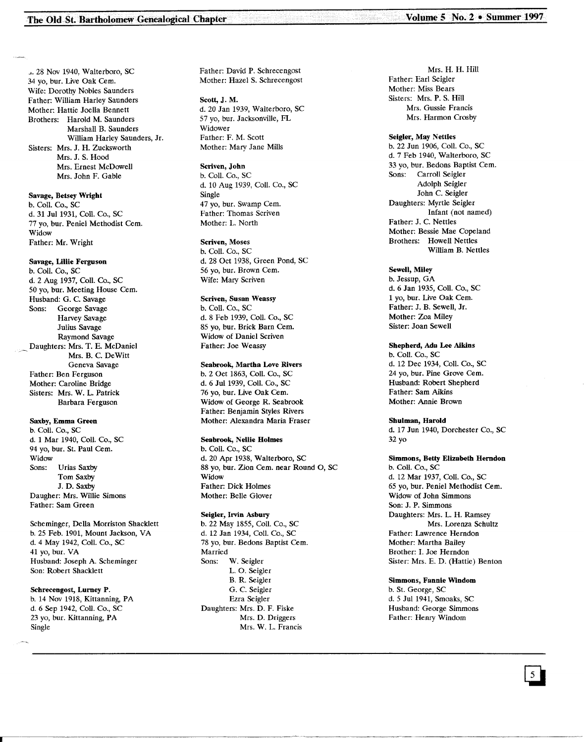j. 28 Nov 1940, Walterboro, SC 34 yo, bur. Live Oak Cern. Wife: Dorothy Nobles Saunders Father: William Harley Saunders Mother: Hattie Joella Bennett Brothers: Harold M. Saunders Marshall B. Saunders William Harley Saunders, Jr. Sisters: Mrs. J. H. Zucksworth Mrs. J. S. Hood Mrs. Ernest McDowell Mrs. John F. Gable

Savage, Betsey Wright b. CoIl. Co., SC d. 31 Jul 1931, Coll. Co., SC 77 yo, bur. Peniel Methodist Cern. Widow Father: Mr. Wright

#### Savage, Ullie Ferguson

b. CoIl. Co., SC d. 2 Aug 1937, CoIl. Co., SC 50 yo, bur. Meeting House Cern. Husband: G. C. Savage Sons: George Savage Harvey Savage Julius Savage Raymond Savage Daughters: Mrs. T. E. McDaniel Mrs. B. C. DeWitt Geneva Savage Father: Ben Ferguson Mother: Caroline Bridge Sisters: Mrs. W. L. Patrick Barbara Ferguson

#### Saxby, Emma Green

b. Coll. Co., SC d. 1 Mar 1940, Coll. Co., SC 94 yo, bur. St. Paul Cem. Widow Sons: Urias Saxby Tom Saxby J. D. Saxby Daugher: Mrs. Willie Simons Father: Sam Green

Scheminger, Della Morriston Shacklett b. 25 Feb. 1901, Mount Jackson, VA d. 4 May 1942, Coll. Co., SC 41 yo, bur. VA Husband: Joseph A. Scherninger Son: Robert Shacklett

#### Schrecengost, Lurney P.

b. 14 Nov 1918, Kittanning, PA d. 6 Sep 1942, Coll. Co., SC 23 yo, bur. Kittanning, PA Single

Father: David P. Schrecengost Mother: Hazel S. Schrecengost

Scott, J. M. d. 20 Jan 1939, Walterboro, SC 57 yo, bur. Jacksonville, FL Widower Father: F. M. Scott Mother: Mary Jane Mills

#### Scriven, John

b. Coil. Co., SC d. 10 Aug 1939, Coll. Co., SC Single 47 vo, bur. Swamp Cem. Father: Thomas Scriven Mother: L. North

#### Scriven, Moses

b. CoIl. Co., SC d. 28 Oct 1938, Green Pond, SC 56 vo, bur. Brown Cem. Wife: Mary Scriven

#### Scriven, Susan Weassy

b. Coll. Co., SC d. 8 Feb 1939, Coll. Co., SC 85 yo, bur. Brick Barn Cem. Widow of Daniel Scriven Father: Joe Weassy

#### Seabrook, Martha Love Rivers

b. 2 Oct 1863, Coll. Co., SC d. 6 Jul 1939, CoIl. Co., SC 76 yo, bur. Live Oak Cem. Widow of George R. Seabrook Father: Benjamin Styles Rivers Mother: Alexandra Maria Fraser

#### Seabrook, Nellie Holmes

b. ColI. Co., SC d. 20 Apr 1938, Walterboro, SC 88 yo, bur. Zion Cern. near Round 0, SC Widow Father: Dick Holmes Mother: Belle Glover

#### Seigler, Irvin Asbury

b. 22 May 1855, CoIl. Co., SC d. 12 Jan 1934, Coll. Co., SC 78 yo, bur. Bedons Baptist Cem. Married Sons: W. Seigler 1. O. Seigler B. R. Seigler G. C. Seigler Ezra Seigler Daughters: Mrs. D. F. Fiske Mrs. D. Driggers Mrs. W. L. Francis

Mrs. H. H. Hill Father: Earl Seigler Mother: Miss Bears Sisters: Mrs. P. S. Hill Mrs. Gussie Francis Mrs. Harmon Crosby

#### Seigler, May Nettles

b. 22 Jun 1906, CoIl. Co., SC d. 7 Feb 1940, Walterboro, SC 33 yo, bur. Bedons Baptist Cem. Carroll Seigler Adolph Seigler John C. Seigler Daughters: Myrtle Seigler Infant (not named) Father: J. C. Nettles Mother: Bessie Mae Copeland Brothers: Howell Nettles William B. Nettles

#### Sewell, Miley

b. Jessup, GA d. 6 Jan 1935, CoIl. Co., SC 1 yo, bur. Live Oak Cern. Father: J. B. Sewell, Jr. Mother: Zoa Miley Sister: Joan Sewell

#### Shepherd, Ada Lee Aikins

b. Coll. Co., SC d. 12 Dec 1934, Coll. Co., SC 24 yo, bur. Pine Grove Cem. Husband: Robert Shepherd Father: Sam Aikins Mother: Annie Brown

#### Shulman, Harold

d. 17 Jun 1940, Dorchester Co., SC 32 yo

# Simmons, Betty Elizabeth Herndon

b. CoIl. Co., SC d. 12 Mar 1937, Coll. Co., SC 65 yo, bur. Peniel Methodist Cern. Widow of John Simmons Son: J. P. Simmons Daughters: Mrs. L. H. Ramsey Mrs. Lorenza Schultz Father: Lawrence Herndon Mother: Martha Bailey Brother: I. Joe Herndon Sister: Mrs. E. D. (Hattie) Benton

#### Simmons, Fannie Windom

b. St. George, SC d. 5 Ju11941, Smoaks, SC Husband: George Simmons Father: Henry Windom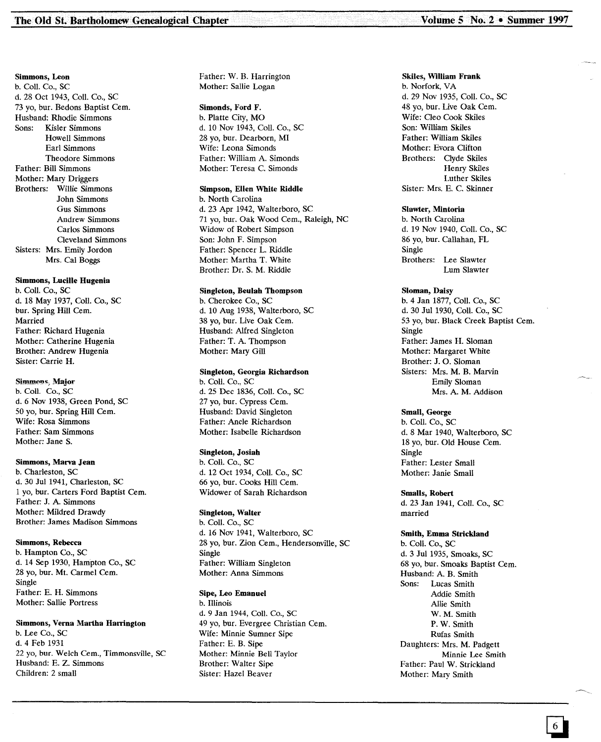#### Simmons, Leon b. ColI. Co., SC d. 28 Oct 1943, ColI. Co., SC 73 yo, bur. Bedons Baptist Cern. Husband: Rhodie Simmons Sons: Kisler Simmons Howell Simmons Earl Simmons Theodore Simmons Father: Bill Simmons Mother: Mary Driggers Brothers: Willie Simmons John Simmons Gus Simmons Andrew Simmons Carlos Simmons Cleveland Simmons Sisters: Mrs. Emily Jordon Mrs. Cal Boggs

# Simmons, Lucille Hugenia

b. ColI. Co., SC d. 18 May 1937, CoIl. Co., SC bur. Spring Hill Cem. Married Father: Richard Hugenia Mother: Catherine Hugenia Brother: Andrew Hugenia Sister: Carrie H.

#### Simmons, Major

b. Coll. Co., SC d. 6 Nov 1938, Green Pond, SC 50 yo, bur. Spring Hill Cern. Wife: Rosa Simmons Father: Sam Simmons Mother: Jane S.

#### Simmons, Marva Jean

b. Charleston, SC d. 30 Jul 1941, Charleston, SC 1 yo, bur. Carters Ford Baptist Cern. Father: J. A. Simmons Mother: Mildred Drawdy Brother: James Madison Simmons

#### Simmons, Rebecca

b. Hampton Co., SC d. 14 Sep 1930, Hampton Co., SC 28 yo, bur. Mt. Carmel Cem. Single Father: E. H. Simmons Mother: Sallie Portress

#### Simmons, Vema Martha Harrington

b. Lee Co., SC d.4 Feb 1931 22 yo, bur. Welch Cern., Timmonsville, SC Husband: E. Z. Simmons Children: 2 small

Father: W. B. Harrington Mother: Sallie Logan

Simonds, Ford F. b. Platte City, MO d. 10 Nov 1943, ColI. Co., SC 28 yo, bur. Dearborn, MI Wife: Leona Simonds Father: William A. Simonds Mother: Teresa C. Simonds

#### Simpson, Ellen White Riddle

b. North Carolina d. 23 Apr 1942, Walterboro, SC 71 yo, bur. Oak Wood Cern., Raleigh, NC Widow of Robert Simpson Son: John F. Simpson Father: Spencer L. Riddle Mother: Martha T. White Brother: Dr. S. M. Riddle

#### Singleton, Beulah Thompson

b. Cherokee Co., SC d. 10 Aug 1938, Walterboro, SC 38 yo, bur. Live Oak Cem. Husband: Alfred Singleton Father: T. A. Thompson Mother: Mary Gill

#### Singleton, Georgia Richardson

b. ColI. Co., SC d. 25 Dec 1836, CoIl. Co., SC 27 yo, bur. Cypress Cem. Husband: David Singleton Father: Anele Richardson Mother: Isabelle Richardson

#### Singleton, Josiah

b. ColI. Co., SC d. 12 Oct 1934, CoIl. Co., SC 66 yo, bur. Cooks Hill Cern. Widower of Sarah Richardson

#### Singleton, Walter

b. CoIl. Co., SC d. 16 Nov 1941, Walterboro, SC 28 yo, bur. Zion Cem., Hendersonville, SC Single Father: William Singleton Mother: Anna Simmons

#### Sipe, Leo Emanuel

b. Illinois d. 9 Jan 1944, Coll. Co., SC 49 yo, bur. Evergree Christian Cem. Wife: Minnie Sumner Sipe Father: E. B. Sipe Mother: Minnie Bell Taylor Brother: Walter Sipe Sister: Hazel Beaver

#### Skiles, William Frank

b. Norfork, VA d. 29 Nov 1935, ColI. Co., SC 48 yo, bur. Live Oak Cern. Wife: Cleo Cook Skiles Son: William Skiles Father: William Skiles Mother: Evora Clifton Brothers: Clyde Skiles Henry Skiles Luther Skiles Sister: Mrs. E. C. Skinner

#### Slawter, Mintoria

b. North Carolina d. 19 Nov 1940, ColI. Co., SC 86 yo, bur. Callahan, FL Single Brothers: Lee Slawter Lum Slawter

#### Sloman, Daisy

b. 4 Jan 1877, ColI. Co., SC d. 30 Ju11930, ColI. Co., SC 53 yo, bur. Black Creek Baptist Cem. Single Father: James H. Sloman Mother: Margaret White Brother: J. O. Sloman Sisters: Mrs. M. B. Marvin Emily Sloman Mrs. A. M. Addison

#### Small, George

b. CoIl. Co., SC d. 8 Mar 1940, Walterboro, SC 18 yo, bur. Old House Cem. Single Father: Lester Small Mother: Janie Small

Smalls, Robert d. 23 Jan 1941, CoIl. Co., SC married

#### Smith, Emma Strickland

b. CoIl. Co., SC d. 3 Ju11935, Smoaks, SC 68 yo, bur. Smoaks Baptist Cem. Husband: A. B. Smith Sons: Lucas Smith Addie Smith Allie Smith W. M. Smith P. W. Smith Rufas Smith Daughters: Mrs. M. Padgett Minnie Lee Smith Father: Paul W. Strickland Mother: Mary Smith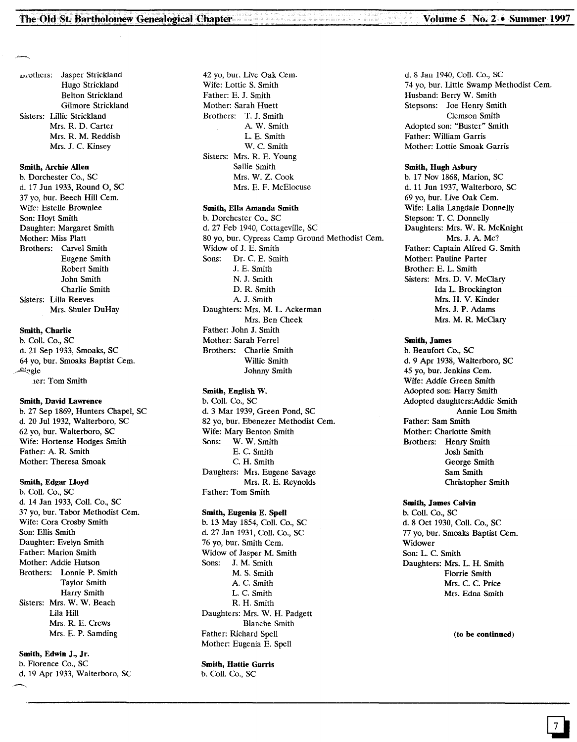,-,,'Others: Jasper Strickland Hugo Strickland Belton Strickland Gilmore Strickland Sisters: Lillie Strickland Mrs. R. D. Carter Mrs. R. M. Reddish Mrs. J. C. Kinsey

#### Smith, Archie Allen

b. Dorchester Co., SC d. 17 Jun 1933, Round 0, SC 37 yo, bur. Beech Hill Cern. Wife: Estelle Brownlee Son: Hoyt Smith Daughter: Margaret Smith Mother: Miss Platt Brothers: Carvel Smith Eugene Smith Robert Smith John Smith Charlie Smith Sisters: Lilla Reeves Mrs. Shuler DuHay

#### Smith, Charlie

b. Coli. Co., SC d. 21 Sep 1933, Smoaks, SC 64 yo, bur. Smoaks Baptist Cern. ..,..I:i~g1e .1er:Tom Smith

#### Smith, David Lawrence

b. 27 Sep 1869, Hunters Chapel, SC d. 20 Jul 1932, Walterboro, SC 62 yo, bur. Walterboro, SC Wife: Hortense Hodges Smith Father: A. R. Smith Mother: Theresa Smoak

#### Smith, Edgar lloyd

b. Coli. Co., SC d. 14 Jan 1933, Coli. Co., SC 37 yo, bur. Tabor Methodist Cern. Wife: Cora Crosby Smith Son: Ellis Smith Daughter: Evelyn Smith Father: Marion Smith Mother: Addie Hutson Brothers: Lonnie P. Smith Taylor Smith Harry Smith Sisters: Mrs. W. W. Beach Lila Hill Mrs. R. E. Crews Mrs. E. P. Samding

Smith, Edwin J., Jr. b. Florence Co., SC d. 19 Apr 1933, Walterboro, SC

42 yo, bur. Live Oak Cern. Wife: Lottie S. Smith Father: E. J. Smith Mother: Sarah Huett Brothers: T. J. Smith A. W. Smith L. E. Smith W. C. Smith Sisters: Mrs. R. E. Young Sallie Smith Mrs. W. Z. Cook Mrs. E. F. McElocuse

#### Smith, Ella Amanda Smith

b. Dorchester Co., SC d. 27 Feb 1940, Cottageville, SC 80 yo, bur. Cypress Camp Ground Methodist Cem. Widow of J. E. Smith Sons: Dr. C. E. Smith J. E. Smith N. J. Smith D. R. Smith A. J. Smith Daughters: Mrs. M. L. Ackerman Mrs. Ben Cheek Father: John J. Smith Mother: Sarah Ferrel Brothers: Charlie Smith Willie Smith Johnny Smith

#### Smith, English W.

b. Coil. Co., SC d. 3 Mar 1939, Green Pond, SC 82 yo, bur. Ebenezer Methodist Cem. Wife: Mary Benton Smith Sons: W. W. Smith E. C. Smith C. H. Smith Daughers: Mrs. Eugene Savage Mrs. R. E. Reynolds Father: Tom Smith

#### Smith, Eugenia E. Spell

b. 13 May 1854, Coli. Co., SC d. 27 Jan 1931, Coli. Co., SC 76 yo, bur. Smith Cern. Widow of Jasper M. Smith Sons: J. M. Smith M. S. Smith A. C. Smith L. C. Smith R. H. Smith Daughters: Mrs. W. H. Padgett Blanche Smith Father: Richard Spell Mother: Eugenia E. Spell

# Smith, Hattie Garris

b. Coil. Co., SC

d. 8 Jan 1940, Coli. Co., SC 74 yo, bur. Little Swamp Methodist Cem. Husband: Berry W. Smith Stepsons: Joe Henry Smith Clemson Smith Adopted son: "Buster" Smith Father: William Garris Mother: Lottie Smoak Garris

#### Smith, Hugh Asbury

b. 17 Nov 1868, Marion, SC d. 11 Jun 1937, Walterboro, SC 69 yo, bur. Live Oak Cern. Wife: Lalla Langdale Donnelly Stepson: T. C. Donnelly Daughters: Mrs. W. R. McKnight Mrs. J. A. Mc? Father: Captain Alfred G. Smith Mother: Pauline Parter Brother: E. L. Smith Sisters: Mrs. D. V. McGary Ida L. Brockington Mrs. H. V. Kinder Mrs. J. P. Adams Mrs. M. R. McGary

#### Smith, James

b. Beaufort Co., SC d. 9 Apr 1938, Walterboro, SC 45 yo, bur. Jenkins Cem. Wife: Addie Green Smith Adopted son: Harry Smith Adopted daughters:Addie Smith Annie Lou Smith Father: Sam Smith Mother: Charlotte Smith Brothers: Henry Smith Josh Smith George Smith Sam Smith Christopher Smith

#### Smith, James Calvin

b. Coli. Co., SC d.8 Oct 1930, Coli. Co., SC 77 yo, bur. Smoaks Baptist Cem. Widower Son: L. C. Smith Daughters: Mrs. L. H. Smith Florrie Smith Mrs. C. C. Price Mrs. Edna Smith

(to be continued)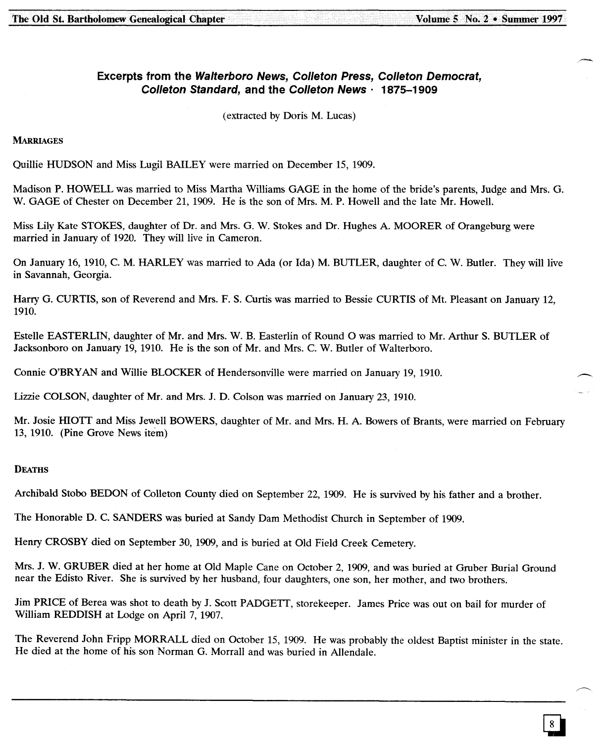# **Excerpts from the Walterboro News, Colleton Press, Colleton Democrat, Colleton Standard, and the Colleton News' 1875-1909**

(extracted by Doris M. Lucas)

**MARRIAGES** 

Quillie HUDSON and Miss Lugil BAILEY were married on December 15, 1909.

Madison P. HOWELL was married to Miss Martha Williams GAGE in the home of the bride's parents, Judge and Mrs. G. W. GAGE of Chester on December 21, 1909. He is the son of Mrs. M. P. Howell and the late Mr. Howell.

Miss Lily Kate STOKES, daughter of Dr. and Mrs. G. W. Stokes and Dr. Hughes A. MOORER of Orangeburg were married in January of 1920. They will live in Cameron.

On January 16, 1910, C. M. HARLEY was married to Ada (or Ida) M. BUTLER, daughter of C. W. Butler. They will live in Savannah, Georgia.

Harry G. CURTIS, son of Reverend and Mrs. F. S. Curtis was married to Bessie CURTIS of Mt. Pleasant on January 12, 1910.

Estelle EASTERLIN, daughter of Mr. and Mrs. W. B. Easterlin of Round 0 was married to Mr. Arthur S. BUTLER of Jacksonboro on January 19, 1910. He is the son of Mr. and Mrs. C. W. Butler of Walterboro.

Connie O'BRYAN and Willie BLOCKER of Hendersonville were married on January 19, 1910.

Lizzie COLSON, daughter of Mr. and Mrs. J. D. Colson was married on January 23, 1910.

Mr. Josie HIOTT and Miss Jewell BOWERS, daughter of Mr. and Mrs. H. A. Bowers of Brants, were married on February 13, 1910. (Pine Grove News item)

# **DEATHS**

Archibald Stobo BEDON of Colleton County died on September 22, 1909. He is survived by his father and a brother.

The Honorable D. C. SANDERS was buried at Sandy Dam Methodist Church in September of 1909.

Henry CROSBY died on September 30, 1909, and is buried at Old Field Creek Cemetery.

Mrs. J. W. GRUBER died at her home at Old Maple Cane on October 2, 1909, and was buried at Gruber Burial Ground near the Edisto River. She is survived by her husband, four daughters, one son, her mother, and two brothers.

Jim PRICE of Berea was shot to death by J. Scott PADGETT, storekeeper. James Price was out on bail for murder of William REDDISH at Lodge on April 7,1907.

The Reverend John Fripp MORRALL died on October 15, 1909. He was probably the oldest Baptist minister in the state. He died at the home of his son Norman G. Morrall and was buried in Allendale.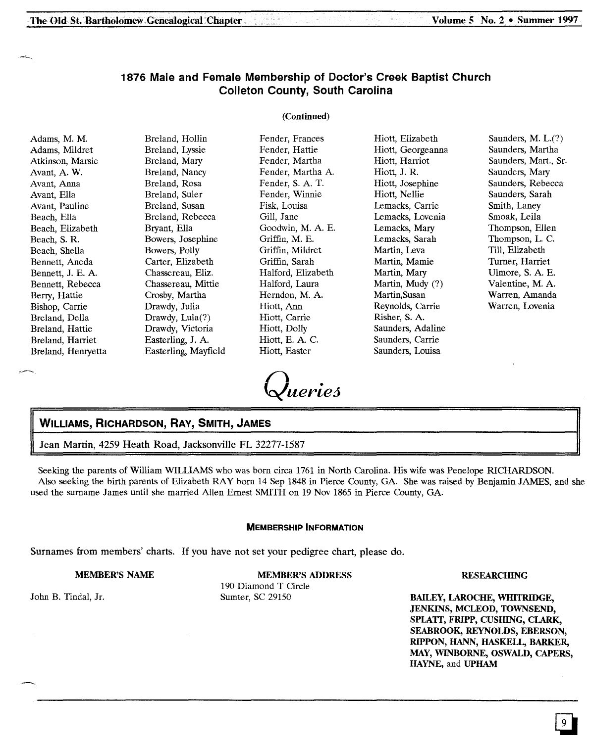# 1876 Male and Female Membership of Doctor's Creek Baptist Church Colleton County, South Carolina

# (Continued)

| Adams, M. M.<br>Adams, Mildret<br>Atkinson, Marsie<br>Avant, A. W.<br>Avant, Anna<br>Avant, Ella<br>Avant, Pauline<br>Beach, Ella<br>Beach, Elizabeth<br>Beach, S. R.<br>Beach, Shella<br>Bennett, Aneda<br>Bennett, J. E. A.<br>Bennett, Rebecca<br>Berry, Hattie<br>Bishop, Carrie<br>Breland, Della | Breland, Hollin<br>Breland, Lyssie<br>Breland, Mary<br>Breland, Nancy<br>Breland, Rosa<br>Breland, Suler<br>Breland, Susan<br>Breland, Rebecca<br>Bryant, Ella<br>Bowers, Josephine<br>Bowers, Polly<br>Carter, Elizabeth<br>Chassereau, Eliz.<br>Chassereau, Mittie<br>Crosby, Martha<br>Drawdy, Julia<br>Drawdy, $Lula(?)$ | Fender, Frances<br>Fender, Hattie<br>Fender, Martha<br>Fender, Martha A.<br>Fender, S. A. T.<br>Fender, Winnie<br>Fisk, Louisa<br>Gill, Jane<br>Goodwin, M. A. E.<br>Griffin, M. E.<br>Griffin, Mildret<br>Griffin, Sarah<br>Halford, Elizabeth<br>Halford, Laura<br>Herndon, M. A.<br>Hiott, Ann<br>Hiott, Carrie | Hiott, Elizabeth<br>Hiott, Georgeanna<br>Hiott, Harriot<br>Hiott, J. R.<br>Hiott, Josephine<br>Hiott, Nellie<br>Lemacks, Carrie<br>Lemacks, Lovenia<br>Lemacks, Mary<br>Lemacks, Sarah<br>Martin, Leva<br>Martin, Mamie<br>Martin, Mary<br>Martin, Mudy (?)<br>Martin, Susan<br>Reynolds, Carrie<br>Risher, S. A. | Saunders, M. $L(?)$<br>Saunders, Martha<br>Saunders, Mart., Sr.<br>Saunders, Mary<br>Saunders, Rebecca<br>Saunders, Sarah<br>Smith, Laney<br>Smoak, Leila<br>Thompson, Ellen<br>Thompson, L. C.<br>Till, Elizabeth<br>Turner, Harriet<br>Ulmore, S. A. E.<br>Valentine, M. A.<br>Warren, Amanda<br>Warren, Lovenia |
|--------------------------------------------------------------------------------------------------------------------------------------------------------------------------------------------------------------------------------------------------------------------------------------------------------|------------------------------------------------------------------------------------------------------------------------------------------------------------------------------------------------------------------------------------------------------------------------------------------------------------------------------|--------------------------------------------------------------------------------------------------------------------------------------------------------------------------------------------------------------------------------------------------------------------------------------------------------------------|-------------------------------------------------------------------------------------------------------------------------------------------------------------------------------------------------------------------------------------------------------------------------------------------------------------------|--------------------------------------------------------------------------------------------------------------------------------------------------------------------------------------------------------------------------------------------------------------------------------------------------------------------|
| Breland, Hattie<br>Breland, Harriet<br>Breland, Henryetta                                                                                                                                                                                                                                              | Drawdy, Victoria<br>Easterling, J. A.<br>Easterling, Mayfield                                                                                                                                                                                                                                                                | Hiott, Dolly<br>Hiott, E. A. C.<br>Hiott, Easter                                                                                                                                                                                                                                                                   | Saunders, Adaline<br>Saunders, Carrie<br>Saunders, Louisa                                                                                                                                                                                                                                                         |                                                                                                                                                                                                                                                                                                                    |
|                                                                                                                                                                                                                                                                                                        |                                                                                                                                                                                                                                                                                                                              |                                                                                                                                                                                                                                                                                                                    |                                                                                                                                                                                                                                                                                                                   |                                                                                                                                                                                                                                                                                                                    |

Queries

# WILLIAMS, RICHARDSON, RAY, SMITH, JAMES

Jean Martin, 4259 Heath Road, Jacksonville FL 32277-1587

Seeking the parents of William WILLIAMS who was born circa 1761 in North Carolina. His wife was Penelope RICHARDSON. Also seeking the birth parents of Elizabeth RAY born 14 Sep 1848 in Pierce County, GA. She was raised by Benjamin JAMES, and she used the surname James until she married Allen Ernest SMITH on 19 Nov 1865 in Pierce County, GA.

#### MEMBERSHIP INFORMATION

Surnames from members' charts. If you have not set your pedigree chart, please do.

#### MEMBER'S NAME

MEMBER'S ADDRESS

John B. Tindal, Jr.

190 Diamond T Circle Sumter, SC 29150

**RESEARCHING** 

BAILEY, LAROCHE, WIllTRIDGE, JENKINS, MCLEOD, TOWNSEND, SPLATT, FRIPP, CUSHING, CLARK, SEABROOK, REYNOLDS, EBERSON, RIPPON, HANN, HASKELL, BARKER, MAY,WINBORNE, OSWALD, CAPERS, HAYNE, and UPHAM